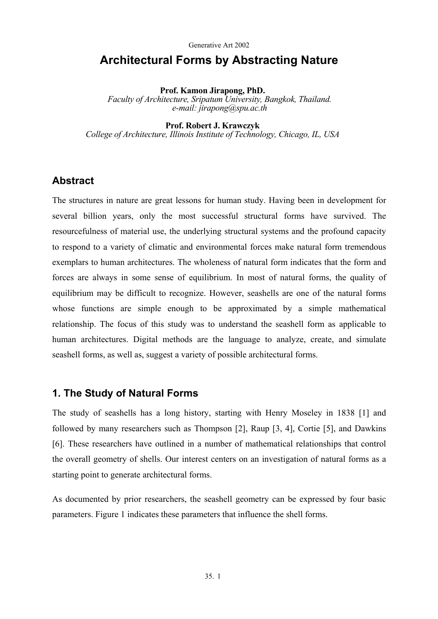# **Architectural Forms by Abstracting Nature**

**Prof. Kamon Jirapong, PhD.**  *Faculty of Architecture, Sripatum University, Bangkok, Thailand. e-mail: jirapong@spu.ac.th* 

**Prof. Robert J. Krawczyk** 

*College of Architecture, Illinois Institute of Technology, Chicago, IL, USA* 

### **Abstract**

The structures in nature are great lessons for human study. Having been in development for several billion years, only the most successful structural forms have survived. The resourcefulness of material use, the underlying structural systems and the profound capacity to respond to a variety of climatic and environmental forces make natural form tremendous exemplars to human architectures. The wholeness of natural form indicates that the form and forces are always in some sense of equilibrium. In most of natural forms, the quality of equilibrium may be difficult to recognize. However, seashells are one of the natural forms whose functions are simple enough to be approximated by a simple mathematical relationship. The focus of this study was to understand the seashell form as applicable to human architectures. Digital methods are the language to analyze, create, and simulate seashell forms, as well as, suggest a variety of possible architectural forms.

### **1. The Study of Natural Forms**

The study of seashells has a long history, starting with Henry Moseley in 1838 [1] and followed by many researchers such as Thompson [2], Raup [3, 4], Cortie [5], and Dawkins [6]. These researchers have outlined in a number of mathematical relationships that control the overall geometry of shells. Our interest centers on an investigation of natural forms as a starting point to generate architectural forms.

As documented by prior researchers, the seashell geometry can be expressed by four basic parameters. Figure 1 indicates these parameters that influence the shell forms.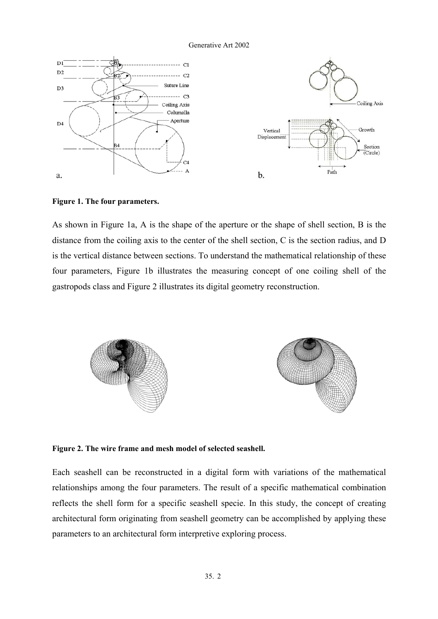

**Figure 1. The four parameters.** 

As shown in Figure 1a, A is the shape of the aperture or the shape of shell section, B is the distance from the coiling axis to the center of the shell section, C is the section radius, and D is the vertical distance between sections. To understand the mathematical relationship of these four parameters, Figure 1b illustrates the measuring concept of one coiling shell of the gastropods class and Figure 2 illustrates its digital geometry reconstruction.



**Figure 2. The wire frame and mesh model of selected seashell.** 

Each seashell can be reconstructed in a digital form with variations of the mathematical relationships among the four parameters. The result of a specific mathematical combination reflects the shell form for a specific seashell specie. In this study, the concept of creating architectural form originating from seashell geometry can be accomplished by applying these parameters to an architectural form interpretive exploring process.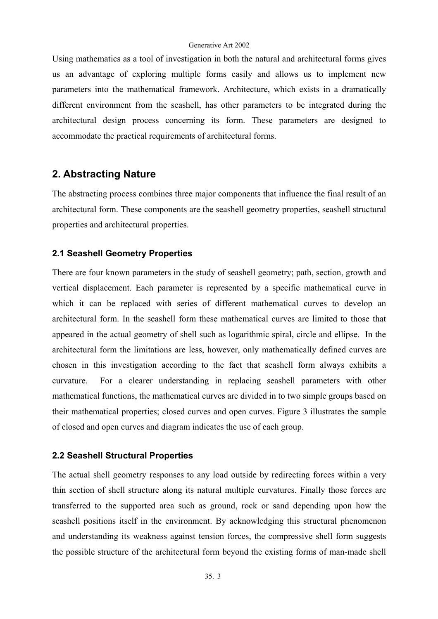Using mathematics as a tool of investigation in both the natural and architectural forms gives us an advantage of exploring multiple forms easily and allows us to implement new parameters into the mathematical framework. Architecture, which exists in a dramatically different environment from the seashell, has other parameters to be integrated during the architectural design process concerning its form. These parameters are designed to accommodate the practical requirements of architectural forms.

## **2. Abstracting Nature**

The abstracting process combines three major components that influence the final result of an architectural form. These components are the seashell geometry properties, seashell structural properties and architectural properties.

#### **2.1 Seashell Geometry Properties**

There are four known parameters in the study of seashell geometry; path, section, growth and vertical displacement. Each parameter is represented by a specific mathematical curve in which it can be replaced with series of different mathematical curves to develop an architectural form. In the seashell form these mathematical curves are limited to those that appeared in the actual geometry of shell such as logarithmic spiral, circle and ellipse. In the architectural form the limitations are less, however, only mathematically defined curves are chosen in this investigation according to the fact that seashell form always exhibits a curvature. For a clearer understanding in replacing seashell parameters with other mathematical functions, the mathematical curves are divided in to two simple groups based on their mathematical properties; closed curves and open curves. Figure 3 illustrates the sample of closed and open curves and diagram indicates the use of each group.

#### **2.2 Seashell Structural Properties**

The actual shell geometry responses to any load outside by redirecting forces within a very thin section of shell structure along its natural multiple curvatures. Finally those forces are transferred to the supported area such as ground, rock or sand depending upon how the seashell positions itself in the environment. By acknowledging this structural phenomenon and understanding its weakness against tension forces, the compressive shell form suggests the possible structure of the architectural form beyond the existing forms of man-made shell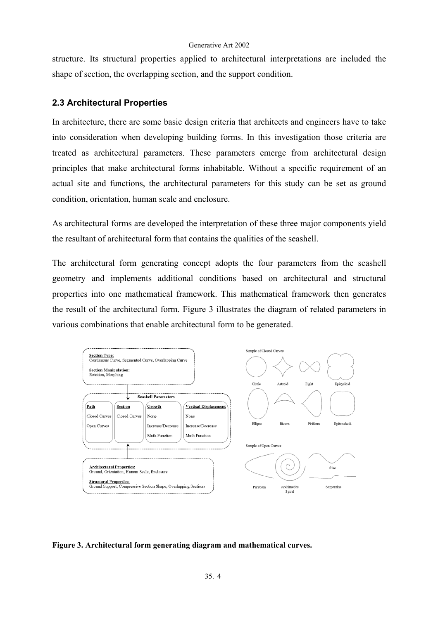structure. Its structural properties applied to architectural interpretations are included the shape of section, the overlapping section, and the support condition.

### **2.3 Architectural Properties**

In architecture, there are some basic design criteria that architects and engineers have to take into consideration when developing building forms. In this investigation those criteria are treated as architectural parameters. These parameters emerge from architectural design principles that make architectural forms inhabitable. Without a specific requirement of an actual site and functions, the architectural parameters for this study can be set as ground condition, orientation, human scale and enclosure.

As architectural forms are developed the interpretation of these three major components yield the resultant of architectural form that contains the qualities of the seashell.

The architectural form generating concept adopts the four parameters from the seashell geometry and implements additional conditions based on architectural and structural properties into one mathematical framework. This mathematical framework then generates the result of the architectural form. Figure 3 illustrates the diagram of related parameters in various combinations that enable architectural form to be generated.



#### **Figure 3. Architectural form generating diagram and mathematical curves.**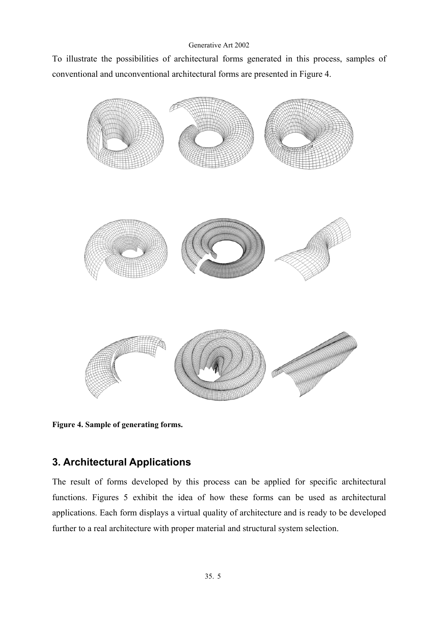To illustrate the possibilities of architectural forms generated in this process, samples of conventional and unconventional architectural forms are presented in Figure 4.



**Figure 4. Sample of generating forms.** 

## **3. Architectural Applications**

The result of forms developed by this process can be applied for specific architectural functions. Figures 5 exhibit the idea of how these forms can be used as architectural applications. Each form displays a virtual quality of architecture and is ready to be developed further to a real architecture with proper material and structural system selection.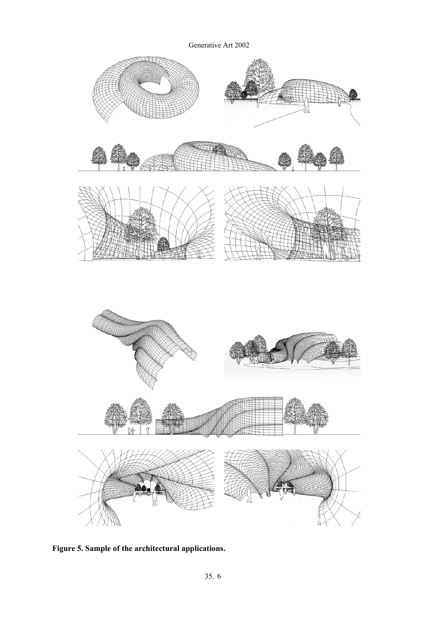

**Figure 5. Sample of the architectural applications.**